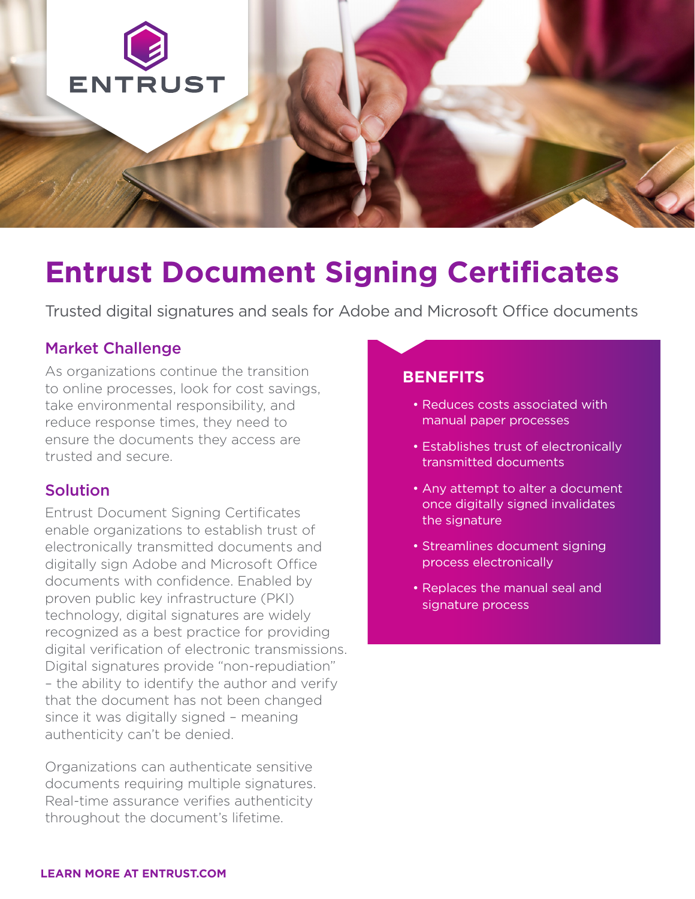

# **Entrust Document Signing Certificates**

Trusted digital signatures and seals for Adobe and Microsoft Office documents

# Market Challenge

As organizations continue the transition to online processes, look for cost savings, take environmental responsibility, and reduce response times, they need to ensure the documents they access are trusted and secure.

# Solution

Entrust Document Signing Certificates enable organizations to establish trust of electronically transmitted documents and digitally sign Adobe and Microsoft Office documents with confidence. Enabled by proven public key infrastructure (PKI) technology, digital signatures are widely recognized as a best practice for providing digital verification of electronic transmissions. Digital signatures provide "non-repudiation" – the ability to identify the author and verify that the document has not been changed since it was digitally signed – meaning authenticity can't be denied.

Organizations can authenticate sensitive documents requiring multiple signatures. Real-time assurance verifies authenticity throughout the document's lifetime.

### **BENEFITS**

- Reduces costs associated with manual paper processes
- Establishes trust of electronically transmitted documents
- Any attempt to alter a document once digitally signed invalidates the signature
- Streamlines document signing process electronically
- Replaces the manual seal and signature process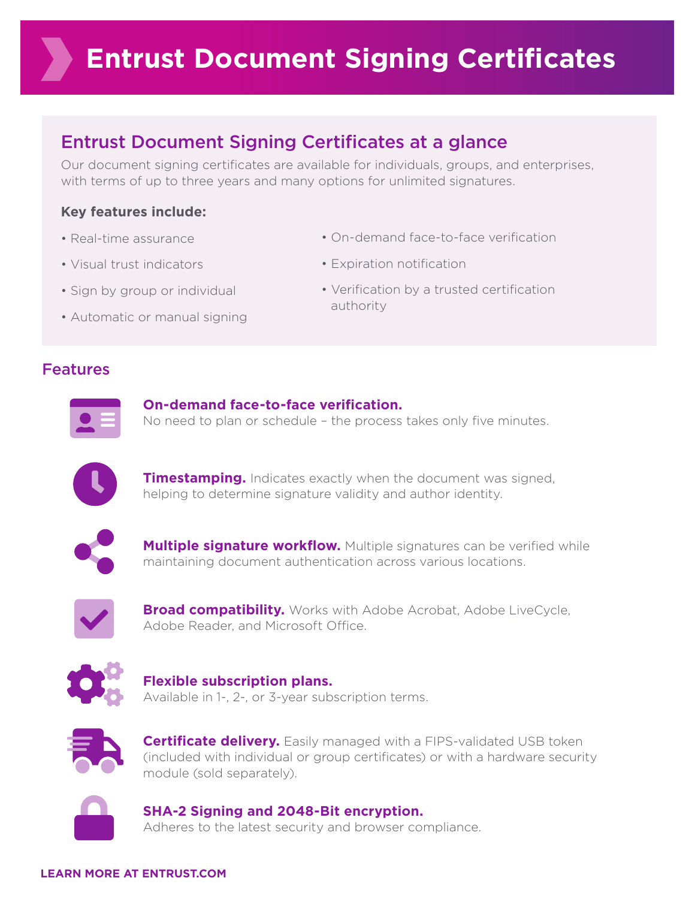# Entrust Document Signing Certificates at a glance

Our document signing certificates are available for individuals, groups, and enterprises, with terms of up to three years and many options for unlimited signatures.

# **Key features include:**

- Real-time assurance
- Visual trust indicators
- Sign by group or individual
- Automatic or manual signing
- On-demand face-to-face verification
- Expiration notification
- Verification by a trusted certification authority

# Features



#### **On-demand face-to-face verification.**

No need to plan or schedule – the process takes only five minutes.



**Timestamping.** Indicates exactly when the document was signed, helping to determine signature validity and author identity.



**Multiple signature workflow.** Multiple signatures can be verified while maintaining document authentication across various locations.



**Broad compatibility.** Works with Adobe Acrobat, Adobe LiveCycle, Adobe Reader, and Microsoft Office.



### **Flexible subscription plans.**  Available in 1-, 2-, or 3-year subscription terms.



**Certificate delivery.** Easily managed with a FIPS-validated USB token (included with individual or group certificates) or with a hardware security module (sold separately).



#### **SHA-2 Signing and 2048-Bit encryption.**

Adheres to the latest security and browser compliance.

#### **LEARN MORE AT ENTRUST.COM**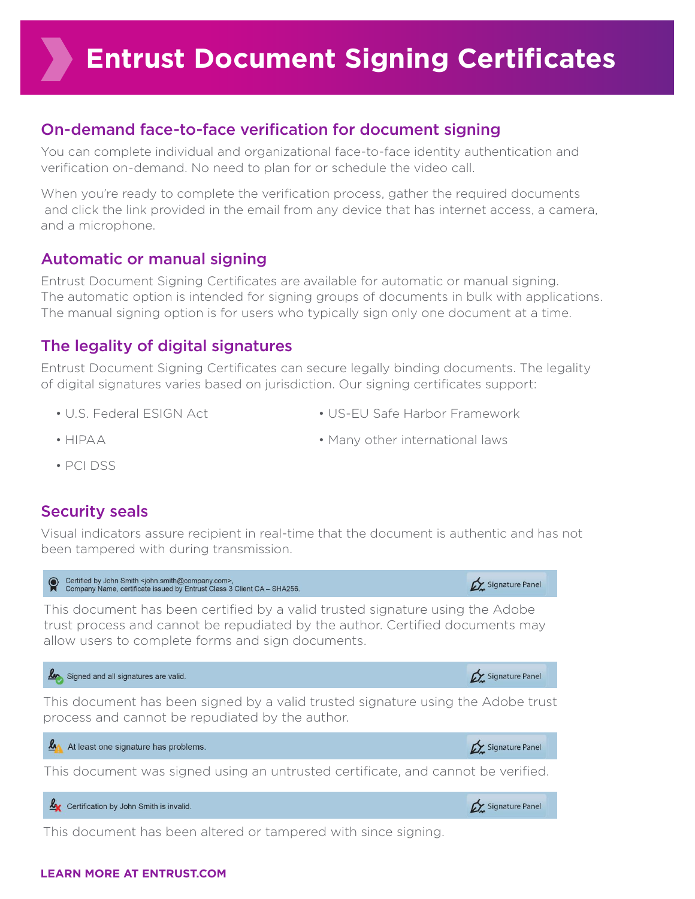# On-demand face-to-face verification for document signing

You can complete individual and organizational face-to-face identity authentication and verification on-demand. No need to plan for or schedule the video call.

When you're ready to complete the verification process, gather the required documents and click the link provided in the email from any device that has internet access, a camera, and a microphone.

# Automatic or manual signing

Entrust Document Signing Certificates are available for automatic or manual signing. The automatic option is intended for signing groups of documents in bulk with applications. The manual signing option is for users who typically sign only one document at a time.

# The legality of digital signatures

Entrust Document Signing Certificates can secure legally binding documents. The legality of digital signatures varies based on jurisdiction. Our signing certificates support:

• U.S. Federal ESIGN Act

• US-EU Safe Harbor Framework

• HIPAA

• Many other international laws

• PCI DSS

# Security seals

Visual indicators assure recipient in real-time that the document is authentic and has not been tampered with during transmission.



### **LEARN MORE AT ENTRUST.COM**